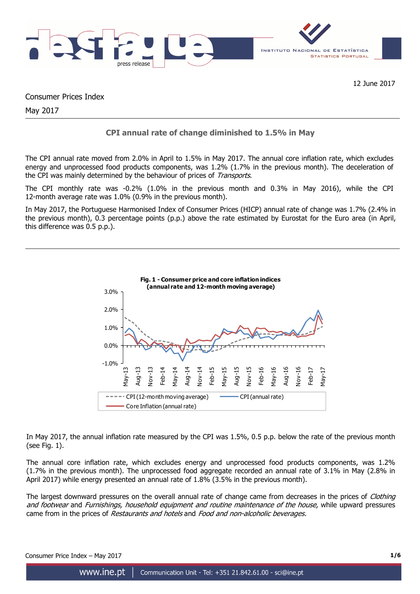

12 June 2017

Consumer Prices Index

May 2017

# **CPI annual rate of change diminished to 1.5% in May**

The CPI annual rate moved from 2.0% in April to 1.5% in May 2017. The annual core inflation rate, which excludes energy and unprocessed food products components, was 1.2% (1.7% in the previous month). The deceleration of the CPI was mainly determined by the behaviour of prices of Transports.

The CPI monthly rate was -0.2% (1.0% in the previous month and 0.3% in May 2016), while the CPI 12-month average rate was 1.0% (0.9% in the previous month).

In May 2017, the Portuguese Harmonised Index of Consumer Prices (HICP) annual rate of change was 1.7% (2.4% in the previous month), 0.3 percentage points (p.p.) above the rate estimated by Eurostat for the Euro area (in April, this difference was 0.5 p.p.).



In May 2017, the annual inflation rate measured by the CPI was 1.5%, 0.5 p.p. below the rate of the previous month (see Fig. 1).

The annual core inflation rate, which excludes energy and unprocessed food products components, was 1.2% (1.7% in the previous month). The unprocessed food aggregate recorded an annual rate of 3.1% in May (2.8% in April 2017) while energy presented an annual rate of 1.8% (3.5% in the previous month).

The largest downward pressures on the overall annual rate of change came from decreases in the prices of *Clothing* and footwear and Furnishings, household equipment and routine maintenance of the house, while upward pressures came from in the prices of Restaurants and hotels and Food and non-alcoholic beverages.

Consumer Price Index – May 2017 **1/6**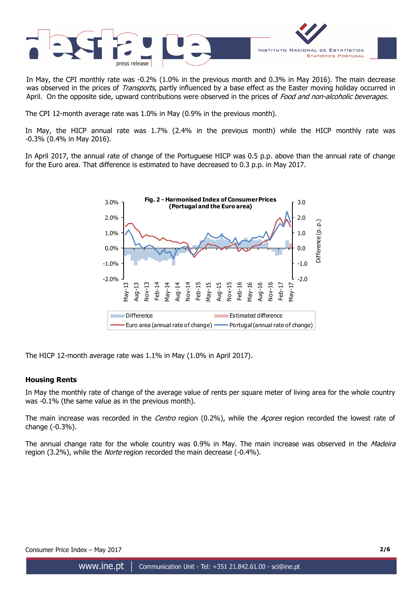

In May, the CPI monthly rate was -0.2% (1.0% in the previous month and 0.3% in May 2016). The main decrease was observed in the prices of Transports, partly influenced by a base effect as the Easter moving holiday occurred in April. On the opposite side, upward contributions were observed in the prices of Food and non-alcoholic beverages.

The CPI 12-month average rate was 1.0% in May (0.9% in the previous month).

In May, the HICP annual rate was 1.7% (2.4% in the previous month) while the HICP monthly rate was -0.3% (0.4% in May 2016).

In April 2017, the annual rate of change of the Portuguese HICP was 0.5 p.p. above than the annual rate of change for the Euro area. That difference is estimated to have decreased to 0.3 p.p. in May 2017.



The HICP 12-month average rate was 1.1% in May (1.0% in April 2017).

# **Housing Rents**

In May the monthly rate of change of the average value of rents per square meter of living area for the whole country was -0.1% (the same value as in the previous month).

The main increase was recorded in the Centro region (0.2%), while the Acores region recorded the lowest rate of change (-0.3%).

The annual change rate for the whole country was 0.9% in May. The main increase was observed in the *Madeira* region (3.2%), while the *Norte* region recorded the main decrease (-0.4%).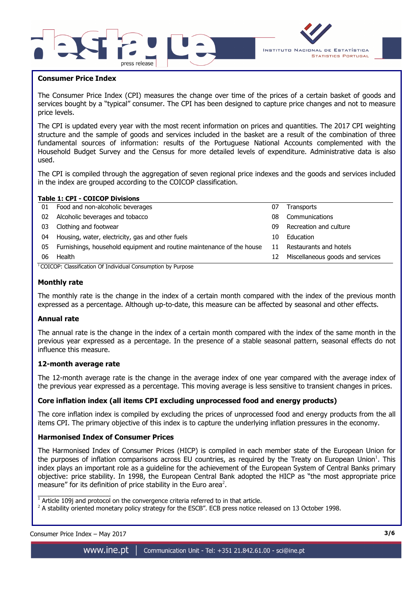



## **Consumer Price Index**

I

The Consumer Price Index (CPI) measures the change over time of the prices of a certain basket of goods and services bought by a "typical" consumer. The CPI has been designed to capture price changes and not to measure price levels.

The CPI is updated every year with the most recent information on prices and quantities. The 2017 CPI weighting structure and the sample of goods and services included in the basket are a result of the combination of three fundamental sources of information: results of the Portuguese National Accounts complemented with the Household Budget Survey and the Census for more detailed levels of expenditure. Administrative data is also used.

The CPI is compiled through the aggregation of seven regional price indexes and the goods and services included in the index are grouped according to the COICOP classification.

|    | <b>Table 1: CPI - COICOP Divisions</b>                                |    |                                  |
|----|-----------------------------------------------------------------------|----|----------------------------------|
| 01 | Food and non-alcoholic beverages                                      | 07 | Transports                       |
| 02 | Alcoholic beverages and tobacco                                       | 08 | Communications                   |
| 03 | Clothing and footwear                                                 | 09 | Recreation and culture           |
| 04 | Housing, water, electricity, gas and other fuels                      | 10 | Education                        |
| 05 | Furnishings, household equipment and routine maintenance of the house | 11 | Restaurants and hotels           |
| 06 | Health                                                                | 12 | Miscellaneous goods and services |
|    |                                                                       |    |                                  |

<sup>1</sup> COICOP: Classification Of Individual Consumption by Purpose

## **Monthly rate**

The monthly rate is the change in the index of a certain month compared with the index of the previous month expressed as a percentage. Although up-to-date, this measure can be affected by seasonal and other effects.

## **Annual rate**

The annual rate is the change in the index of a certain month compared with the index of the same month in the previous year expressed as a percentage. In the presence of a stable seasonal pattern, seasonal effects do not influence this measure.

## **12-month average rate**

The 12-month average rate is the change in the average index of one year compared with the average index of the previous year expressed as a percentage. This moving average is less sensitive to transient changes in prices.

## **Core inflation index (all items CPI excluding unprocessed food and energy products)**

The core inflation index is compiled by excluding the prices of unprocessed food and energy products from the all items CPI. The primary objective of this index is to capture the underlying inflation pressures in the economy.

## **Harmonised Index of Consumer Prices**

The Harmonised Index of Consumer Prices (HICP) is compiled in each member state of the European Union for the purposes of inflation comparisons across EU countries, as required by the Treaty on European Union<sup>1</sup>. This index plays an important role as a guideline for the achievement of the European System of Central Banks primary objective: price stability. In 1998, the European Central Bank adopted the HICP as "the most appropriate price measure" for its definition of price stability in the Euro area<sup>2</sup>.

 $^2$  A stability oriented monetary policy strategy for the ESCB". ECB press notice released on 13 October 1998.

| Consumer Price Index - May 2017 |  | 3/6 |
|---------------------------------|--|-----|
|                                 |  |     |

 $\overline{\phantom{a}}$  , and the set of the set of the set of the set of the set of the set of the set of the set of the set of the set of the set of the set of the set of the set of the set of the set of the set of the set of the s

 $1$  Article 109j and protocol on the convergence criteria referred to in that article.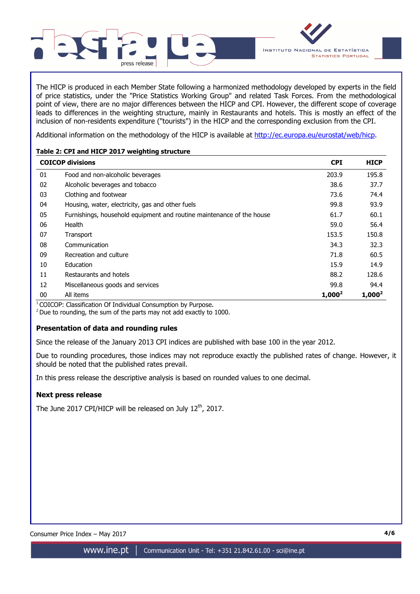

The HICP is produced in each Member State following a harmonized methodology developed by experts in the field of price statistics, under the "Price Statistics Working Group" and related Task Forces. From the methodological point of view, there are no major differences between the HICP and CPI. However, the different scope of coverage leads to differences in the weighting structure, mainly in Restaurants and hotels. This is mostly an effect of the inclusion of non-residents expenditure ("tourists") in the HICP and the corresponding exclusion from the CPI.

Additional information on the methodology of the HICP is available at http://ec.europa.eu/eurostat/web/hicp.

# **Table 2: CPI and HICP 2017 weighting structure**

|    | <b>COICOP divisions</b>                                               | <b>CPI</b> | <b>HICP</b> |
|----|-----------------------------------------------------------------------|------------|-------------|
| 01 | Food and non-alcoholic beverages                                      | 203.9      | 195.8       |
| 02 | Alcoholic beverages and tobacco                                       | 38.6       | 37.7        |
| 03 | Clothing and footwear                                                 | 73.6       | 74.4        |
| 04 | Housing, water, electricity, gas and other fuels                      | 99.8       | 93.9        |
| 05 | Furnishings, household equipment and routine maintenance of the house | 61.7       | 60.1        |
| 06 | Health                                                                | 59.0       | 56.4        |
| 07 | Transport                                                             | 153.5      | 150.8       |
| 08 | Communication                                                         | 34.3       | 32.3        |
| 09 | Recreation and culture                                                | 71.8       | 60.5        |
| 10 | Education                                                             | 15.9       | 14.9        |
| 11 | Restaurants and hotels                                                | 88.2       | 128.6       |
| 12 | Miscellaneous goods and services                                      | 99.8       | 94.4        |
| 00 | All items                                                             | $1,000^2$  | $1,000^2$   |

 $1$ COICOP: Classification Of Individual Consumption by Purpose.

 $2$  Due to rounding, the sum of the parts may not add exactly to 1000.

# **Presentation of data and rounding rules**

Since the release of the January 2013 CPI indices are published with base 100 in the year 2012.

Due to rounding procedures, those indices may not reproduce exactly the published rates of change. However, it should be noted that the published rates prevail.

In this press release the descriptive analysis is based on rounded values to one decimal.

# **Next press release**

The June 2017 CPI/HICP will be released on July 12<sup>th</sup>, 2017.

Consumer Price Index – May 2017 **4/6**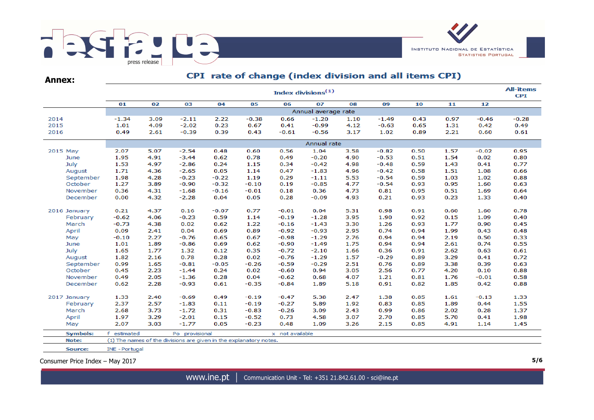

| <b>Annex:</b>   |                     | CPI rate of change (index division and all items CPI) |                                                                    |         |         |                 |         |      |         |      |      |         |         |  |  |  |
|-----------------|---------------------|-------------------------------------------------------|--------------------------------------------------------------------|---------|---------|-----------------|---------|------|---------|------|------|---------|---------|--|--|--|
|                 |                     | <b>All-items</b><br>Index divisions <sup>(1)</sup>    |                                                                    |         |         |                 |         |      |         |      |      |         |         |  |  |  |
|                 | 01                  | 02                                                    | 03                                                                 | 04      | 05      | 06              | 07      | 08   | 09      | 10   | 11   | 12      |         |  |  |  |
|                 | Annual average rate |                                                       |                                                                    |         |         |                 |         |      |         |      |      |         |         |  |  |  |
| 2014            | -1.34               | 3.09                                                  | $-2.11$                                                            | 2.22    | $-0.38$ | 0.66            | $-1.20$ | 1.10 | $-1.49$ | 0.43 | 0.97 | $-0.46$ | $-0.28$ |  |  |  |
| 2015            | 1.01                | 4.09                                                  | $-2.02$                                                            | 0.23    | 0.67    | 0.41            | $-0.99$ | 4.12 | $-0.63$ | 0.65 | 1.31 | 0.42    | 0.49    |  |  |  |
| 2016            | 0.49                | 2.61                                                  | $-0.39$                                                            | 0.39    | 0.43    | $-0.61$         | $-0.56$ | 3.17 | 1.02    | 0.89 | 2.21 | 0.60    | 0.61    |  |  |  |
|                 |                     | Annual rate                                           |                                                                    |         |         |                 |         |      |         |      |      |         |         |  |  |  |
| 2015 May        | 2.07                | 5.07                                                  | $-2.54$                                                            | 0.48    | 0.60    | 0.56            | 1.04    | 3.58 | $-0.82$ | 0.50 | 1.57 | $-0.02$ | 0.95    |  |  |  |
| June            | 1.95                | 4.91                                                  | $-3.44$                                                            | 0.62    | 0.78    | 0.49            | $-0.20$ | 4.90 | $-0.53$ | 0.51 | 1.54 | 0.02    | 0.80    |  |  |  |
| July            | 1.53                | 4.97                                                  | $-2.86$                                                            | 0.24    | 1.15    | 0.34            | $-0.42$ | 4.98 | $-0.48$ | 0.59 | 1.43 | 0.41    | 0.77    |  |  |  |
| August          | 1.71                | 4.36                                                  | $-2.65$                                                            | 0.05    | 1.14    | 0.47            | $-1.83$ | 4.96 | $-0.42$ | 0.58 | 1.51 | 1.08    | 0.66    |  |  |  |
| September       | 1.98                | 4.28                                                  | $-0.23$                                                            | $-0.22$ | 1.19    | 0.29            | $-1.11$ | 5.53 | $-0.54$ | 0.59 | 1.03 | 1.02    | 0.88    |  |  |  |
| October         | 1.27                | 3.89                                                  | $-0.90$                                                            | $-0.32$ | $-0.10$ | 0.19            | $-0.85$ | 4.77 | $-0.54$ | 0.93 | 0.95 | 1.60    | 0.63    |  |  |  |
| November        | 0.36                | 4.31                                                  | $-1.68$                                                            | $-0.16$ | $-0.01$ | 0.18            | 0.36    | 4.73 | 0.81    | 0.95 | 0.51 | 1.69    | 0.64    |  |  |  |
| December        | 0.00                | 4.32                                                  | $-2.28$                                                            | 0.04    | 0.05    | 0.28            | $-0.09$ | 4.93 | 0.21    | 0.93 | 0.23 | 1.33    | 0.40    |  |  |  |
| 2016 January    | 0.21                | 4.37                                                  | 0.16                                                               | $-0.07$ | 0.77    | $-0.01$         | 0.04    | 5.31 | 0.98    | 0.91 | 0.60 | 1.60    | 0.78    |  |  |  |
| February        | $-0.62$             | 4.06                                                  | $-0.23$                                                            | 0.59    | 1.14    | $-0.19$         | $-1.28$ | 3.95 | 1.90    | 0.92 | 0.15 | 1.09    | 0.40    |  |  |  |
| March           | $-0.73$             | 4.38                                                  | 0.02                                                               | 0.62    | 1.22    | $-0.16$         | $-1.43$ | 3.30 | 1.26    | 0.93 | 1.77 | 0.90    | 0.45    |  |  |  |
| April           | 0.09                | 2.41                                                  | 0.04                                                               | 0.69    | 0.89    | $-0.92$         | $-0.93$ | 2.95 | 0.74    | 0.94 | 1.99 | 0.43    | 0.48    |  |  |  |
| May             | $-0.10$             | 2.27                                                  | $-0.76$                                                            | 0.65    | 0.67    | $-0.98$         | $-1.29$ | 2.76 | 0.94    | 0.94 | 2.19 | 0.50    | 0.33    |  |  |  |
| June            | 1.01                | 1.89                                                  | $-0.86$                                                            | 0.69    | 0.62    | $-0.90$         | $-1.49$ | 1.75 | 0.94    | 0.94 | 2.61 | 0.74    | 0.55    |  |  |  |
| July            | 1.65                | 1.77                                                  | 1.32                                                               | 0.12    | 0.35    | $-0.72$         | $-2.10$ | 1.66 | 0.36    | 0.91 | 2.62 | 0.63    | 0.61    |  |  |  |
| August          | 1.82                | 2.16                                                  | 0.78                                                               | 0.28    | 0.02    | $-0.76$         | $-1.29$ | 1.57 | $-0.29$ | 0.89 | 3.29 | 0.41    | 0.72    |  |  |  |
| September       | 0.99                | 1.65                                                  | $-0.81$                                                            | $-0.05$ | $-0.26$ | $-0.59$         | $-0.29$ | 2.51 | 0.76    | 0.89 | 3.38 | 0.39    | 0.63    |  |  |  |
| October         | 0.45                | 2.23                                                  | $-1.44$                                                            | 0.24    | 0.02    | $-0.60$         | 0.94    | 3.05 | 2.56    | 0.77 | 4.20 | 0.10    | 0.88    |  |  |  |
| November        | 0.49                | 2.05                                                  | $-1.36$                                                            | 0.28    | 0.04    | $-0.62$         | 0.68    | 4.07 | 1.21    | 0.81 | 1.76 | $-0.01$ | 0.58    |  |  |  |
| December        | 0.62                | 2.28                                                  | $-0.93$                                                            | 0.61    | $-0.35$ | $-0.84$         | 1.89    | 5.18 | 0.91    | 0.82 | 1.85 | 0.42    | 0.88    |  |  |  |
| 2017 January    | 1.33                | 2.40                                                  | $-0.69$                                                            | 0.49    | $-0.19$ | $-0.47$         | 5.38    | 2.47 | 1.38    | 0.85 | 1.61 | $-0.13$ | 1.33    |  |  |  |
| February        | 2.37                | 2.57                                                  | $-1.83$                                                            | 0.11    | $-0.19$ | $-0.27$         | 5.89    | 1.92 | 0.83    | 0.85 | 1.89 | 0.44    | 1.55    |  |  |  |
| March           | 2.68                | 3.73                                                  | $-1.72$                                                            | 0.31    | $-0.83$ | $-0.26$         | 3.09    | 2.43 | 0.99    | 0.86 | 2.02 | 0.28    | 1.37    |  |  |  |
| April           | 1.97                | 3.29                                                  | $-2.01$                                                            | 0.15    | $-0.52$ | 0.73            | 4.58    | 3.07 | 2.70    | 0.85 | 5.70 | 0.41    | 1.98    |  |  |  |
| May             | 2.07                | 3.03                                                  | $-1.77$                                                            | 0.05    | $-0.23$ | 0.48            | 1.09    | 3.26 | 2.15    | 0.85 | 4.91 | 1.14    | 1.45    |  |  |  |
| <b>Symbols:</b> | f<br>estimated      |                                                       | Po provisional                                                     |         |         | x not available |         |      |         |      |      |         |         |  |  |  |
| Note:           |                     |                                                       | (1) The names of the divisions are given in the explanatory notes. |         |         |                 |         |      |         |      |      |         |         |  |  |  |

Source: INE - Portugal

Consumer Price Index – May 2017 **5/6**